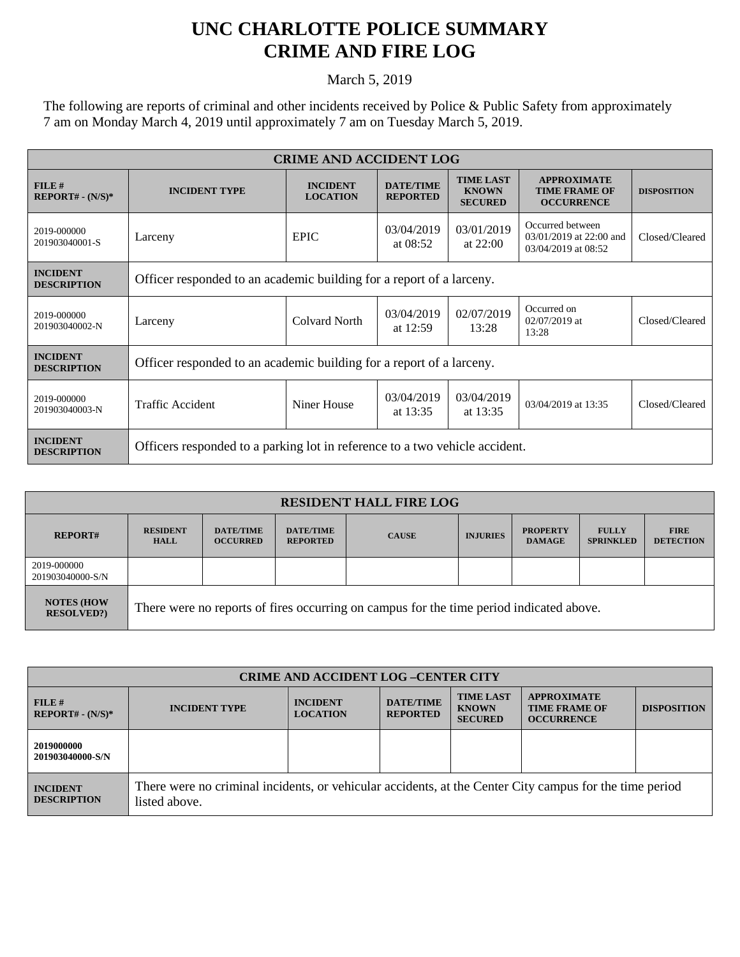## **UNC CHARLOTTE POLICE SUMMARY CRIME AND FIRE LOG**

March 5, 2019

The following are reports of criminal and other incidents received by Police & Public Safety from approximately 7 am on Monday March 4, 2019 until approximately 7 am on Tuesday March 5, 2019.

| <b>CRIME AND ACCIDENT LOG</b>         |                                                                             |                                    |                                     |                                                    |                                                                    |                    |  |
|---------------------------------------|-----------------------------------------------------------------------------|------------------------------------|-------------------------------------|----------------------------------------------------|--------------------------------------------------------------------|--------------------|--|
| $FILE$ #<br>$REPORT# - (N/S)*$        | <b>INCIDENT TYPE</b>                                                        | <b>INCIDENT</b><br><b>LOCATION</b> | <b>DATE/TIME</b><br><b>REPORTED</b> | <b>TIME LAST</b><br><b>KNOWN</b><br><b>SECURED</b> | <b>APPROXIMATE</b><br><b>TIME FRAME OF</b><br><b>OCCURRENCE</b>    | <b>DISPOSITION</b> |  |
| 2019-000000<br>201903040001-S         | Larceny                                                                     | <b>EPIC</b>                        | 03/04/2019<br>at $08:52$            | 03/01/2019<br>at $22:00$                           | Occurred between<br>03/01/2019 at 22:00 and<br>03/04/2019 at 08:52 | Closed/Cleared     |  |
| <b>INCIDENT</b><br><b>DESCRIPTION</b> | Officer responded to an academic building for a report of a larceny.        |                                    |                                     |                                                    |                                                                    |                    |  |
| 2019-000000<br>201903040002-N         | Larceny                                                                     | Colvard North                      | 03/04/2019<br>at 12:59              | 02/07/2019<br>13:28                                | Occurred on<br>$02/07/2019$ at<br>13:28                            | Closed/Cleared     |  |
| <b>INCIDENT</b><br><b>DESCRIPTION</b> | Officer responded to an academic building for a report of a larceny.        |                                    |                                     |                                                    |                                                                    |                    |  |
| 2019-000000<br>201903040003-N         | <b>Traffic Accident</b>                                                     | Niner House                        | 03/04/2019<br>at $13:35$            | 03/04/2019<br>at 13:35                             | 03/04/2019 at 13:35                                                | Closed/Cleared     |  |
| <b>INCIDENT</b><br><b>DESCRIPTION</b> | Officers responded to a parking lot in reference to a two vehicle accident. |                                    |                                     |                                                    |                                                                    |                    |  |

| <b>RESIDENT HALL FIRE LOG</b>         |                                                                                         |                                     |                                     |              |                 |                                  |                                  |                                 |
|---------------------------------------|-----------------------------------------------------------------------------------------|-------------------------------------|-------------------------------------|--------------|-----------------|----------------------------------|----------------------------------|---------------------------------|
| <b>REPORT#</b>                        | <b>RESIDENT</b><br><b>HALL</b>                                                          | <b>DATE/TIME</b><br><b>OCCURRED</b> | <b>DATE/TIME</b><br><b>REPORTED</b> | <b>CAUSE</b> | <b>INJURIES</b> | <b>PROPERTY</b><br><b>DAMAGE</b> | <b>FULLY</b><br><b>SPRINKLED</b> | <b>FIRE</b><br><b>DETECTION</b> |
| 2019-000000<br>201903040000-S/N       |                                                                                         |                                     |                                     |              |                 |                                  |                                  |                                 |
| <b>NOTES (HOW</b><br><b>RESOLVED?</b> | There were no reports of fires occurring on campus for the time period indicated above. |                                     |                                     |              |                 |                                  |                                  |                                 |

| <b>CRIME AND ACCIDENT LOG-CENTER CITY</b> |                                                                                                                          |                                    |                                     |                                                    |                                                                 |                    |  |
|-------------------------------------------|--------------------------------------------------------------------------------------------------------------------------|------------------------------------|-------------------------------------|----------------------------------------------------|-----------------------------------------------------------------|--------------------|--|
| FILE#<br>$REPORT# - (N/S)*$               | <b>INCIDENT TYPE</b>                                                                                                     | <b>INCIDENT</b><br><b>LOCATION</b> | <b>DATE/TIME</b><br><b>REPORTED</b> | <b>TIME LAST</b><br><b>KNOWN</b><br><b>SECURED</b> | <b>APPROXIMATE</b><br><b>TIME FRAME OF</b><br><b>OCCURRENCE</b> | <b>DISPOSITION</b> |  |
| 2019000000<br>201903040000-S/N            |                                                                                                                          |                                    |                                     |                                                    |                                                                 |                    |  |
| <b>INCIDENT</b><br><b>DESCRIPTION</b>     | There were no criminal incidents, or vehicular accidents, at the Center City campus for the time period<br>listed above. |                                    |                                     |                                                    |                                                                 |                    |  |